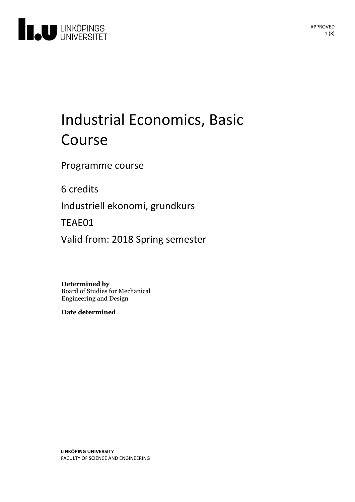

# Industrial Economics, Basic Course

Programme course

6 credits

Industriell ekonomi, grundkurs

TEAE01

Valid from: 2018 Spring semester

**Determined by** Board of Studies for Mechanical Engineering and Design

**Date determined**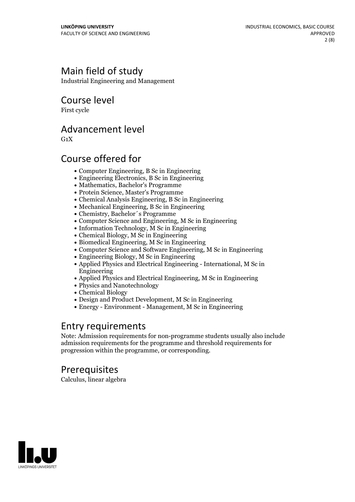# Main field of study

Industrial Engineering and Management

Course level

First cycle

# Advancement level

 $G_1X$ 

# Course offered for

- Computer Engineering, B Sc in Engineering
- Engineering Electronics, B Sc in Engineering
- Mathematics, Bachelor's Programme
- Protein Science, Master's Programme
- Chemical Analysis Engineering, B Sc in Engineering
- Mechanical Engineering, B Sc in Engineering
- Chemistry, Bachelor´s Programme
- Computer Science and Engineering, M Sc in Engineering
- $\bullet$  Information Technology, M Sc in Engineering
- Chemical Biology, M Sc in Engineering
- Biomedical Engineering, M Sc in Engineering
- Computer Science and Software Engineering, M Sc in Engineering
- Engineering Biology, M Sc in Engineering
- Applied Physics and Electrical Engineering International, M Sc in Engineering
- Applied Physics and Electrical Engineering, M Sc in Engineering
- Physics and Nanotechnology
- Chemical Biology
- Design and Product Development, M Sc in Engineering
- Energy Environment Management, M Sc in Engineering

# Entry requirements

Note: Admission requirements for non-programme students usually also include admission requirements for the programme and threshold requirements for progression within the programme, or corresponding.

# **Prerequisites**

Calculus, linear algebra

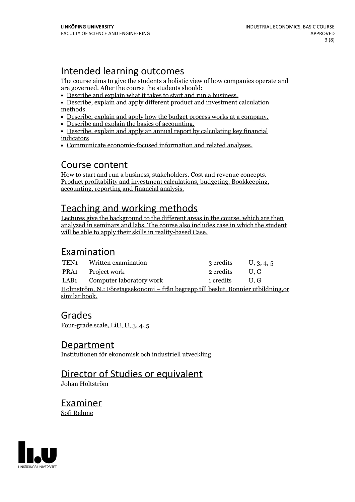# Intended learning outcomes

The course aims to give the students a holistic view of how companies operate and are governed. After the course the students should:<br>• Describe and explain what it takes to start and run a business.

- 
- $\bullet$  Describe, explain and apply different product and investment calculation methods.
- methods. Describe, explain and apply how the budget process works at <sup>a</sup> company. Describe and explain the basics of accounting. Describe, explain and apply an annual report by calculating key financial
- 
- indicators
- Communicate economic-focused information and related analyses.

Course content<br>How to start and run a business, stakeholders. Cost and revenue concepts. Product profitability and investment calculations, budgeting. Bookkeeping, accounting, reporting and financial analysis.

# Teaching and working methods

Lectures give the background to the different areas in the course, which are then analyzed in seminars and labs. The course also includes case in which the student will be able to apply their skills in reality-based Case.

# Examination

| TEN1                                                                              | Written examination      | 3 credits | U, 3, 4, 5 |
|-----------------------------------------------------------------------------------|--------------------------|-----------|------------|
| PRA1                                                                              | Project work             | 2 credits | U.G        |
| LAB1                                                                              | Computer laboratory work | 1 credits | U.G        |
| Holmström, N.: Företagsekonomi – från begrepp till beslut, Bonnier utbildning, or |                          |           |            |
| similar book.                                                                     |                          |           |            |

## Grades

Four-grade scale, LiU, U, 3, 4, 5

### **Department**

Institutionen för ekonomisk och industriell utveckling

# Director of Studies or equivalent

Johan Holtström

Examiner Sofi Rehme

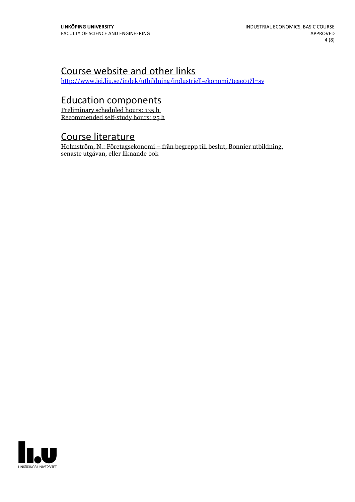# Course website and other links

<http://www.iei.liu.se/indek/utbildning/industriell-ekonomi/teae01?l=sv>

# Education components

Preliminary scheduled hours: 135 h Recommended self-study hours: 25 h

# Course literature

Holmström, N.: Företagsekonomi – från begrepp till beslut, Bonnier utbildning, senaste utgåvan, eller liknande bok

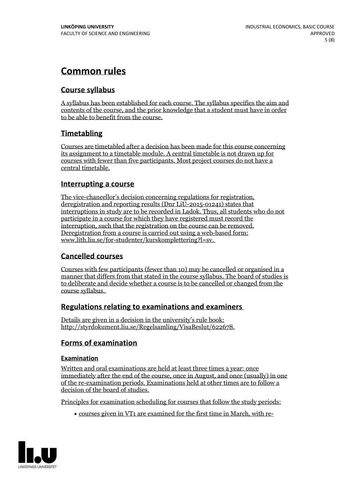# **Common rules**

#### **Course syllabus**

A syllabus has been established for each course. The syllabus specifies the aim and contents of the course, and the prior knowledge that a student must have in order to be able to benefit from the course.

#### **Timetabling**

Courses are timetabled after a decision has been made for this course concerning its assignment to a timetable module. A central timetable is not drawn up for courses with fewer than five participants. Most project courses do not have a central timetable.

#### **Interrupting a course**

The vice-chancellor's decision concerning regulations for registration, deregistration and reporting results (Dnr LiU-2015-01241) states that interruptions in study are to be recorded in Ladok. Thus, all students who do not participate in a course for which they have registered must record the interruption, such that the registration on the course can be removed. Deregistration from <sup>a</sup> course is carried outusing <sup>a</sup> web-based form: www.lith.liu.se/for-studenter/kurskomplettering?l=sv.

#### **Cancelled courses**

Courses with few participants (fewer than 10) may be cancelled or organised in a manner that differs from that stated in the course syllabus. The board of studies is to deliberate and decide whether a course is to be cancelled or changed from the course syllabus.

#### **Regulations relatingto examinations and examiners**

Details are given in a decision in the university's rule book: http://styrdokument.liu.se/Regelsamling/VisaBeslut/622678.

#### **Forms of examination**

#### **Examination**

Written and oral examinations are held at least three times a year: once immediately after the end of the course, once in August, and once (usually) in one of the re-examination periods. Examinations held at other times are to follow a decision of the board of studies.

Principles for examination scheduling for courses that follow the study periods:

courses given in VT1 are examined for the first time in March, with re-

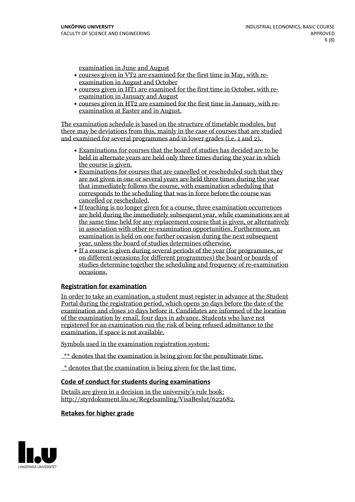examination in June and August

- courses given in VT2 are examined for the first time in May, with re-examination in August and October
- courses given in HT1 are examined for the first time in October, with re-examination in January and August
- courses given in HT2 are examined for the first time in January, with re-examination at Easter and in August.

The examination schedule is based on the structure of timetable modules, but there may be deviations from this, mainly in the case of courses that are studied and examined for several programmes and in lower grades (i.e. 1 and 2).

- Examinations for courses that the board of studies has decided are to be held in alternate years are held only three times during the year in which
- the course is given.<br>• Examinations for courses that are cancelled or rescheduled such that they are not given in one or several years are held three times during the year that immediately follows the course, with examination scheduling that corresponds to the scheduling that was in force before the course was cancelled or rescheduled.
- $\bullet$  If teaching is no longer given for a course, three examination occurrences are held during the immediately subsequent year, while examinations are at the same time held for any replacement course that is given, or alternatively in association with other re-examination opportunities. Furthermore, an examination is held on one further occasion during the next subsequent year, unless the board of studies determines otherwise. If <sup>a</sup> course is given during several periods of the year (for programmes, or
- on different occasions for different programmes) the board orboards of studies determine together the scheduling and frequency of re-examination occasions.

#### **Registration for examination**

In order to take an examination, a student must register in advance at the Student Portal during the registration period, which opens 30 days before the date of the examination and closes 10 days before it. Candidates are informed of the location of the examination by email, four days in advance. Students who have not registered for an examination run the risk of being refused admittance to the examination, if space is not available.

Symbols used in the examination registration system:

\*\* denotes that the examination is being given for the penultimate time.

 $*$  denotes that the examination is being given for the last time.

#### **Code of conduct for students during examinations**

Details are given in a decision in the university's rule book: http://styrdokument.liu.se/Regelsamling/VisaBeslut/622682.

#### **Retakes for higher grade**

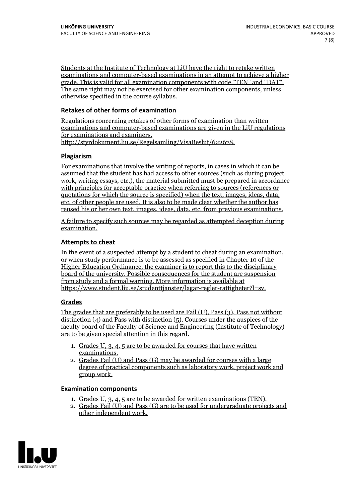Students at the Institute of Technology at LiU have the right to retake written examinations and computer-based examinations in an attempt to achieve a higher grade. This is valid for all examination components with code "TEN" and "DAT". The same right may not be exercised for other examination components, unless otherwise specified in the course syllabus.

#### **Retakes of other forms of examination**

Regulations concerning retakes of other forms of examination than written examinations and computer-based examinations are given in the LiU regulations http://styrdokument.liu.se/Regelsamling/VisaBeslut/622678.

#### **Plagiarism**

For examinations that involve the writing of reports, in cases in which it can be assumed that the student has had access to other sources (such as during project work, writing essays, etc.), the material submitted must be prepared in accordance with principles for acceptable practice when referring to sources (references or quotations for which the source is specified) when the text, images, ideas, data, etc. of other people are used. It is also to be made clear whether the author has reused his or her own text, images, ideas, data, etc. from previous examinations.

A failure to specify such sources may be regarded as attempted deception during examination.

#### **Attempts to cheat**

In the event of <sup>a</sup> suspected attempt by <sup>a</sup> student to cheat during an examination, or when study performance is to be assessed as specified in Chapter <sup>10</sup> of the Higher Education Ordinance, the examiner is to report this to the disciplinary board of the university. Possible consequences for the student are suspension from study and a formal warning. More information is available at https://www.student.liu.se/studenttjanster/lagar-regler-rattigheter?l=sv.

#### **Grades**

The grades that are preferably to be used are Fail (U), Pass (3), Pass not without distinction  $(4)$  and Pass with distinction  $(5)$ . Courses under the auspices of the faculty board of the Faculty of Science and Engineering (Institute of Technology) are to be given special attention in this regard.

- 1. Grades U, 3, 4, 5 are to be awarded for courses that have written
- examinations. 2. Grades Fail (U) and Pass (G) may be awarded for courses with <sup>a</sup> large degree of practical components such as laboratory work, project work and group work.

#### **Examination components**

- 
- 1. Grades U, 3, 4, <sup>5</sup> are to be awarded for written examinations (TEN). 2. Grades Fail (U) and Pass (G) are to be used for undergraduate projects and other independent work.